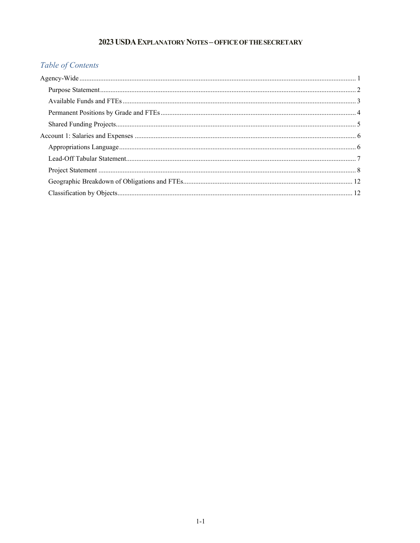# 2023 USDA EXPLANATORY NOTES - OFFICE OF THE SECRETARY

# Table of Contents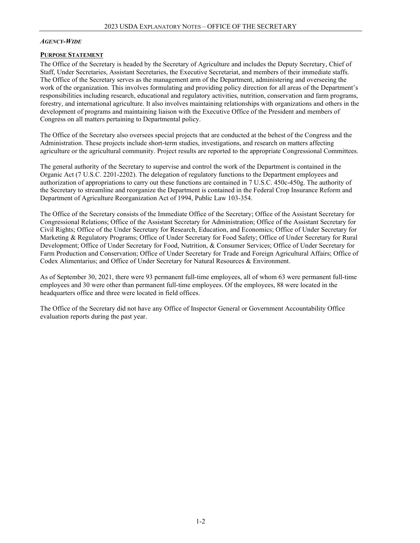#### <span id="page-1-0"></span>*AGENCY-WIDE*

#### <span id="page-1-1"></span>**PURPOSE STATEMENT**

The Office of the Secretary is headed by the Secretary of Agriculture and includes the Deputy Secretary, Chief of Staff, Under Secretaries, Assistant Secretaries, the Executive Secretariat, and members of their immediate staffs. The Office of the Secretary serves as the management arm of the Department, administering and overseeing the work of the organization. This involves formulating and providing policy direction for all areas of the Department's responsibilities including research, educational and regulatory activities, nutrition, conservation and farm programs, forestry, and international agriculture. It also involves maintaining relationships with organizations and others in the development of programs and maintaining liaison with the Executive Office of the President and members of Congress on all matters pertaining to Departmental policy.

The Office of the Secretary also oversees special projects that are conducted at the behest of the Congress and the Administration. These projects include short-term studies, investigations, and research on matters affecting agriculture or the agricultural community. Project results are reported to the appropriate Congressional Committees.

The general authority of the Secretary to supervise and control the work of the Department is contained in the Organic Act (7 U.S.C. 2201-2202). The delegation of regulatory functions to the Department employees and authorization of appropriations to carry out these functions are contained in 7 U.S.C. 450c-450g. The authority of the Secretary to streamline and reorganize the Department is contained in the Federal Crop Insurance Reform and Department of Agriculture Reorganization Act of 1994, Public Law 103-354.

The Office of the Secretary consists of the Immediate Office of the Secretary; Office of the Assistant Secretary for Congressional Relations; Office of the Assistant Secretary for Administration; Office of the Assistant Secretary for Civil Rights; Office of the Under Secretary for Research, Education, and Economics; Office of Under Secretary for Marketing & Regulatory Programs; Office of Under Secretary for Food Safety; Office of Under Secretary for Rural Development; Office of Under Secretary for Food, Nutrition, & Consumer Services; Office of Under Secretary for Farm Production and Conservation; Office of Under Secretary for Trade and Foreign Agricultural Affairs; Office of Codex Alimentarius; and Office of Under Secretary for Natural Resources & Environment.

As of September 30, 2021, there were 93 permanent full-time employees, all of whom 63 were permanent full-time employees and 30 were other than permanent full-time employees. Of the employees, 88 were located in the headquarters office and three were located in field offices.

The Office of the Secretary did not have any Office of Inspector General or Government Accountability Office evaluation reports during the past year.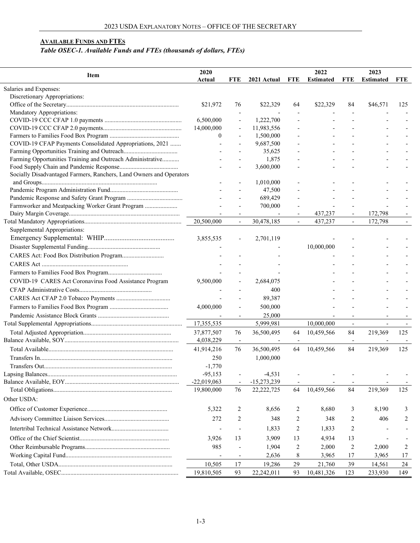# <span id="page-2-0"></span>**AVAILABLE FUNDS AND FTES**

# *Table OSEC-1. Available Funds and FTEs (thousands of dollars, FTEs)*

|                                                                     | 2020          |                          |                          | 2022                 |                  | 2023                     |                          |                          |
|---------------------------------------------------------------------|---------------|--------------------------|--------------------------|----------------------|------------------|--------------------------|--------------------------|--------------------------|
| Item                                                                | Actual        | <b>FTE</b>               | 2021 Actual              | <b>FTE</b>           | <b>Estimated</b> | <b>FTE</b>               | <b>Estimated</b>         | <b>FTE</b>               |
| Salaries and Expenses:                                              |               |                          |                          |                      |                  |                          |                          |                          |
| Discretionary Appropriations:                                       |               |                          |                          |                      |                  |                          |                          |                          |
|                                                                     | \$21,972      | 76                       | \$22,329                 | 64                   | \$22,329         | 84                       | \$46,571                 | 125                      |
| Mandatory Appropriations:                                           |               |                          |                          |                      |                  |                          |                          |                          |
|                                                                     | 6,500,000     |                          | 1,222,700                |                      |                  |                          |                          |                          |
|                                                                     | 14,000,000    |                          | 11,983,556               |                      |                  |                          |                          |                          |
|                                                                     | $\theta$      |                          | 1,500,000                |                      |                  |                          |                          |                          |
| COVID-19 CFAP Payments Consolidated Appropriations, 2021            |               |                          | 9,687,500                |                      |                  |                          |                          |                          |
|                                                                     |               |                          | 35,625                   |                      |                  |                          |                          |                          |
| Farming Opportunities Training and Outreach Administrative          |               |                          | 1,875                    |                      |                  |                          |                          |                          |
|                                                                     |               |                          | 3,600,000                |                      |                  |                          |                          |                          |
| Socially Disadvantaged Farmers, Ranchers, Land Owners and Operators |               |                          |                          |                      |                  |                          |                          |                          |
|                                                                     |               |                          | 1,010,000                |                      |                  |                          |                          |                          |
|                                                                     |               |                          | 47,500                   |                      |                  |                          |                          |                          |
|                                                                     |               |                          | 689,429                  |                      |                  |                          |                          |                          |
| Farmworker and Meatpacking Worker Grant Program                     |               |                          | 700,000                  |                      |                  |                          |                          |                          |
|                                                                     |               |                          |                          |                      | 437,237          |                          | 172,798                  |                          |
|                                                                     | 20,500,000    | $\blacksquare$           | 30,478,185               | $\blacksquare$       | 437,237          | $\blacksquare$           | 172,798                  |                          |
| Supplemental Appropriations:                                        |               |                          |                          |                      |                  |                          |                          |                          |
|                                                                     | 3,855,535     |                          | 2,701,119                |                      |                  |                          |                          |                          |
|                                                                     |               |                          |                          |                      | 10,000,000       |                          |                          |                          |
|                                                                     |               |                          |                          |                      |                  |                          |                          |                          |
|                                                                     |               |                          |                          |                      |                  |                          |                          |                          |
|                                                                     |               |                          |                          |                      |                  |                          |                          |                          |
| COVID-19 CARES Act Coronavirus Food Assistance Program              | 9,500,000     |                          | 2,684,075                |                      |                  |                          |                          |                          |
|                                                                     |               |                          | 400                      |                      |                  |                          |                          |                          |
|                                                                     |               |                          | 89,387                   |                      |                  |                          |                          |                          |
|                                                                     | 4,000,000     |                          | 500,000                  |                      |                  |                          |                          |                          |
|                                                                     |               | $\overline{\phantom{a}}$ | 25,000                   |                      |                  | $\blacksquare$           |                          |                          |
|                                                                     | 17,355,535    |                          | 5,999,981                |                      | 10,000,000       | $\overline{\phantom{a}}$ | $\overline{\phantom{a}}$ | $\overline{\phantom{a}}$ |
|                                                                     | 37,877,507    |                          | 36,500,495               |                      |                  | 84                       | 219,369                  | 125                      |
|                                                                     |               | 76                       | $\overline{\phantom{a}}$ | 64<br>$\blacksquare$ | 10,459,566       |                          |                          |                          |
|                                                                     | 4,038,229     | $\overline{\phantom{a}}$ |                          |                      |                  | $\overline{\phantom{a}}$ |                          |                          |
|                                                                     | 41,914,216    | 76                       | 36,500,495               | 64                   | 10,459,566       | 84                       | 219,369                  | 125                      |
|                                                                     | 250           |                          | 1,000,000                |                      |                  |                          |                          |                          |
|                                                                     | $-1,770$      |                          |                          |                      |                  |                          |                          |                          |
|                                                                     | $-95,153$     |                          | $-4,531$                 |                      |                  |                          |                          |                          |
|                                                                     | $-22,019,063$ | $\overline{\phantom{a}}$ | $-15,273,239$            |                      |                  |                          |                          |                          |
|                                                                     | 19,800,000    | 76                       | 22,222,725               | 64                   | 10,459,566       | 84                       | 219,369                  | 125                      |
| Other USDA:                                                         |               |                          |                          |                      |                  |                          |                          |                          |
|                                                                     | 5,322         | 2                        | 8,656                    | 2                    | 8,680            | 3                        | 8,190                    | 3                        |
|                                                                     | 272           | 2                        | 348                      | 2                    | 348              | 2                        | 406                      | 2                        |
|                                                                     |               |                          | 1,833                    | 2                    | 1,833            | 2                        |                          |                          |
|                                                                     | 3,926         | 13                       | 3,909                    | 13                   | 4,934            | 13                       |                          |                          |
|                                                                     | 985           |                          | 1,904                    | 2                    | 2,000            | 2                        | 2,000                    | 2                        |
|                                                                     |               |                          | 2,636                    | 8                    | 3,965            | 17                       | 3,965                    | 17                       |
|                                                                     | 10,505        | 17                       | 19,286                   | 29                   |                  | 39                       |                          |                          |
|                                                                     |               |                          |                          |                      | 21,760           |                          | 14,561                   | 24                       |
|                                                                     | 19,810,505    | 93                       | 22,242,011               | 93                   | 10,481,326       | 123                      | 233,930                  | 149                      |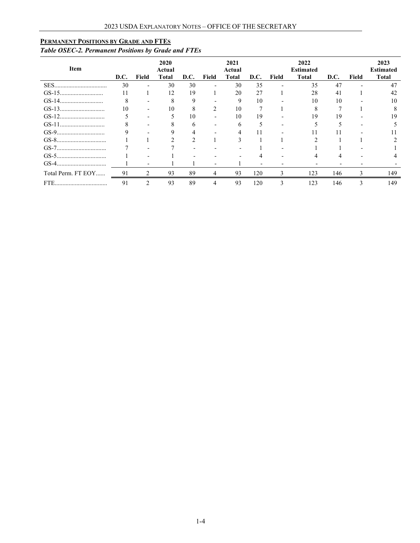# <span id="page-3-0"></span>**PERMANENT POSITIONS BY GRADE AND FTES**

# *Table OSEC-2. Permanent Positions by Grade and FTEs*

| Item               | D.C. | Field                    | 2020<br>Actual<br>Total | D.C. | Field                    | 2021<br>Actual<br>Total | D.C. | Field | 2022<br><b>Estimated</b><br><b>Total</b> | D.C. | Field | 2023<br><b>Estimated</b><br><b>Total</b> |
|--------------------|------|--------------------------|-------------------------|------|--------------------------|-------------------------|------|-------|------------------------------------------|------|-------|------------------------------------------|
|                    | 30   | $\overline{\phantom{0}}$ | 30                      | 30   | $\overline{\phantom{0}}$ | 30                      | 35   |       | 35                                       | 47   |       | 47                                       |
|                    |      |                          | 12                      | 19   |                          | 20                      | 27   |       | 28                                       | 41   |       | 42                                       |
|                    |      |                          |                         | 9    |                          | 9                       | 10   |       | 10                                       | 10   |       | 10                                       |
|                    | 10   |                          | 10                      | Ō    | 2                        | 10                      |      |       | Δ                                        |      |       |                                          |
|                    |      |                          |                         | 10   |                          | 10                      | 19   |       | 19                                       | 19   |       | 19                                       |
| $GS-11$            |      |                          |                         | n    |                          | h                       |      |       |                                          |      |       |                                          |
|                    |      |                          |                         |      |                          |                         |      |       |                                          |      |       |                                          |
|                    |      |                          |                         |      |                          |                         |      |       |                                          |      |       |                                          |
|                    |      |                          |                         |      |                          |                         |      |       |                                          |      |       |                                          |
|                    |      |                          |                         |      |                          |                         |      |       |                                          |      |       |                                          |
| GS-4               |      |                          |                         |      |                          |                         |      |       |                                          |      |       |                                          |
| Total Perm. FT EOY | 91   | 2                        | 93                      | 89   | 4                        | 93                      | 120  | 3     | 123                                      | 146  | 3     | 149                                      |
| FTE.               | 91   | $\mathcal{D}$            | 93                      | 89   |                          | 93                      | 120  | 3     | 123                                      | 146  | 3     | 149                                      |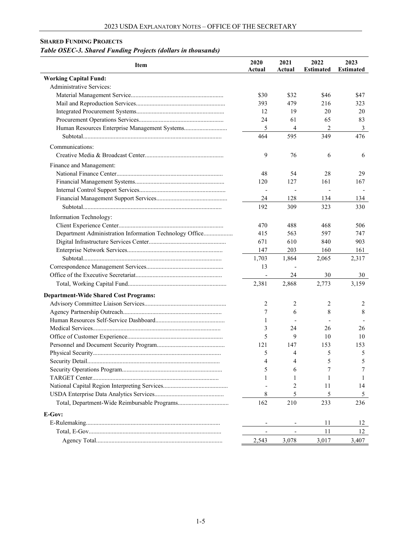### <span id="page-4-0"></span>**SHARED FUNDING PROJECTS**

# *Table OSEC-3. Shared Funding Projects (dollars in thousands)*

| Item                                                    | 2020<br>Actual | 2021<br>Actual | 2022<br><b>Estimated</b> | 2023<br><b>Estimated</b> |
|---------------------------------------------------------|----------------|----------------|--------------------------|--------------------------|
| <b>Working Capital Fund:</b>                            |                |                |                          |                          |
| Administrative Services:                                |                |                |                          |                          |
|                                                         | \$30           | \$32           | \$46                     | \$47                     |
|                                                         | 393            | 479            | 216                      | 323                      |
|                                                         | 12             | 19             | 20                       | 20                       |
|                                                         | 24             | 61             | 65                       | 83                       |
|                                                         | 5              | 4              | 2                        | 3                        |
|                                                         | 464            | 595            | 349                      | 476                      |
| Communications:                                         |                |                |                          |                          |
|                                                         | 9              | 76             | 6                        | 6                        |
| Finance and Management:                                 |                |                |                          |                          |
|                                                         | 48             | 54             | 28                       | 29                       |
|                                                         | 120            | 127            | 161                      | 167                      |
|                                                         |                |                |                          |                          |
|                                                         | 24             | 128            | 134                      | 134                      |
|                                                         | 192            | 309            | 323                      | 330                      |
| Information Technology:                                 |                |                |                          |                          |
|                                                         | 470            | 488            | 468                      | 506                      |
| Department Administration Information Technology Office | 415            | 563            | 597                      | 747                      |
|                                                         | 671            | 610            | 840                      | 903                      |
|                                                         | 147            | 203            | 160                      | 161                      |
|                                                         |                |                |                          |                          |
|                                                         | 1,703<br>13    | 1,864          | 2,065                    | 2,317                    |
|                                                         |                | 24             | 30                       | 30                       |
|                                                         |                |                |                          |                          |
|                                                         | 2,381          | 2,868          | 2,773                    | 3,159                    |
| <b>Department-Wide Shared Cost Programs:</b>            |                |                |                          |                          |
|                                                         | 2              | 2              | 2                        | 2                        |
|                                                         | 7              | 6              | 8                        | 8                        |
|                                                         | 1              |                |                          |                          |
|                                                         | 3              | 24             | 26                       | 26                       |
|                                                         | 5              | 9              | 10                       | 10                       |
|                                                         | 121            | 147            | 153                      | 153                      |
|                                                         | 5              | 4              | 5                        | 5                        |
|                                                         | 4              | 4              | 5                        | 5                        |
|                                                         | 5              | 6              | 7                        | 7                        |
|                                                         | 1              | 1              | 1                        | 1                        |
|                                                         |                | 2              | 11                       | 14                       |
|                                                         | 8              | 5              | 5                        | 5                        |
|                                                         | 162            | 210            | 233                      | 236                      |
| E-Gov:                                                  |                |                |                          |                          |
|                                                         |                |                | 11                       | 12                       |
|                                                         |                |                | 11                       | 12                       |
|                                                         | 2,543          | 3,078          | 3,017                    | 3,407                    |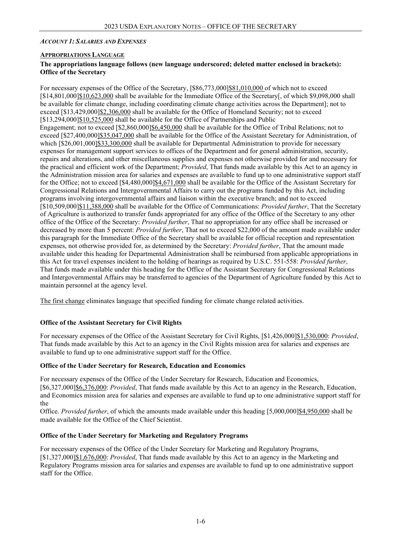### <span id="page-5-0"></span>*ACCOUNT 1: SALARIES AND EXPENSES*

### <span id="page-5-1"></span>**APPROPRIATIONS LANGUAGE**

### **The appropriations language follows (new language underscored; deleted matter enclosed in brackets): Office of the Secretary**

For necessary expenses of the Office of the Secretary, [\$86,773,000]\$81,010,000 of which not to exceed [\$14,801,000]\$10,623,000 shall be available for the Immediate Office of the Secretary[, of which \$9,098,000 shall be available for climate change, including coordinating climate change activities across the Department]; not to exceed [\$13,429,000]\$2,306,000 shall be available for the Office of Homeland Security; not to exceed [\$13,294,000]\$10,525,000 shall be available for the Office of Partnerships and Public Engagement; not to exceed [\$2,860,000]\$6,450,000 shall be available for the Office of Tribal Relations; not to exceed [\$27,400,000]\$35,047,000 shall be available for the Office of the Assistant Secretary for Administration, of which [\$26,001,000]\$33,300,000 shall be available for Departmental Administration to provide for necessary expenses for management support services to offices of the Department and for general administration, security, repairs and alterations, and other miscellaneous supplies and expenses not otherwise provided for and necessary for the practical and efficient work of the Department; *Provided*, That funds made available by this Act to an agency in the Administration mission area for salaries and expenses are available to fund up to one administrative support staff for the Office; not to exceed [\$4,480,000]\$4,671,000 shall be available for the Office of the Assistant Secretary for Congressional Relations and Intergovernmental Affairs to carry out the programs funded by this Act, including programs involving intergovernmental affairs and liaison within the executive branch; and not to exceed [\$10,509,000]\$11,388,000 shall be available for the Office of Communications: *Provided further*, That the Secretary of Agriculture is authorized to transfer funds appropriated for any office of the Office of the Secretary to any other office of the Office of the Secretary: *Provided further*, That no appropriation for any office shall be increased or decreased by more than 5 percent: *Provided further*, That not to exceed \$22,000 of the amount made available under this paragraph for the Immediate Office of the Secretary shall be available for official reception and representation expenses, not otherwise provided for, as determined by the Secretary: *Provided further*, That the amount made available under this heading for Departmental Administration shall be reimbursed from applicable appropriations in this Act for travel expenses incident to the holding of hearings as required by U.S.C. 551-558: *Provided further*, That funds made available under this heading for the Office of the Assistant Secretary for Congressional Relations and Intergovernmental Affairs may be transferred to agencies of the Department of Agriculture funded by this Act to maintain personnel at the agency level.

The first change eliminates language that specified funding for climate change related activities.

## **Office of the Assistant Secretary for Civil Rights**

For necessary expenses of the Office of the Assistant Secretary for Civil Rights, [\$1,426,000]\$1,530,000: *Provided*, That funds made available by this Act to an agency in the Civil Rights mission area for salaries and expenses are available to fund up to one administrative support staff for the Office.

#### **Office of the Under Secretary for Research, Education and Economics**

For necessary expenses of the Office of the Under Secretary for Research, Education and Economics, [\$6,327,000]\$6,376,000: *Provided*, That funds made available by this Act to an agency in the Research, Education, and Economics mission area for salaries and expenses are available to fund up to one administrative support staff for the

Office. *Provided further*, of which the amounts made available under this heading [5,000,000]\$4,950,000 shall be made available for the Office of the Chief Scientist.

#### **Office of the Under Secretary for Marketing and Regulatory Programs**

For necessary expenses of the Office of the Under Secretary for Marketing and Regulatory Programs, [\$1,327,000]\$1,676,000: *Provided*, That funds made available by this Act to an agency in the Marketing and Regulatory Programs mission area for salaries and expenses are available to fund up to one administrative support staff for the Office.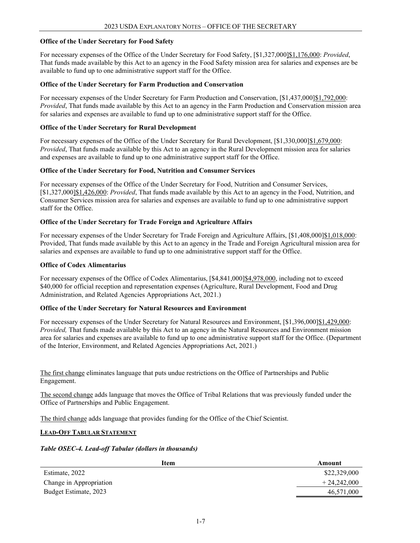#### **Office of the Under Secretary for Food Safety**

For necessary expenses of the Office of the Under Secretary for Food Safety, [\$1,327,000]\$1,176,000: *Provided*, That funds made available by this Act to an agency in the Food Safety mission area for salaries and expenses are be available to fund up to one administrative support staff for the Office.

#### **Office of the Under Secretary for Farm Production and Conservation**

For necessary expenses of the Under Secretary for Farm Production and Conservation, [\$1,437,000]\$1,792,000: *Provided*, That funds made available by this Act to an agency in the Farm Production and Conservation mission area for salaries and expenses are available to fund up to one administrative support staff for the Office.

#### **Office of the Under Secretary for Rural Development**

For necessary expenses of the Office of the Under Secretary for Rural Development,  $\lceil $1,330,000 \rceil $1,679,000$ : *Provided*, That funds made available by this Act to an agency in the Rural Development mission area for salaries and expenses are available to fund up to one administrative support staff for the Office.

#### **Office of the Under Secretary for Food, Nutrition and Consumer Services**

For necessary expenses of the Office of the Under Secretary for Food, Nutrition and Consumer Services, [\$1,327,000]\$1,426,000: *Provided*, That funds made available by this Act to an agency in the Food, Nutrition, and Consumer Services mission area for salaries and expenses are available to fund up to one administrative support staff for the Office.

#### **Office of the Under Secretary for Trade Foreign and Agriculture Affairs**

For necessary expenses of the Under Secretary for Trade Foreign and Agriculture Affairs, [\$1,408,000]\$1,018,000: Provided, That funds made available by this Act to an agency in the Trade and Foreign Agricultural mission area for salaries and expenses are available to fund up to one administrative support staff for the Office.

#### **Office of Codex Alimentarius**

For necessary expenses of the Office of Codex Alimentarius, [\$4,841,000]\$4,978,000, including not to exceed \$40,000 for official reception and representation expenses (Agriculture, Rural Development, Food and Drug Administration, and Related Agencies Appropriations Act, 2021.)

#### **Office of the Under Secretary for Natural Resources and Environment**

For necessary expenses of the Under Secretary for Natural Resources and Environment, [\$1,396,000]\$1,429,000: *Provided,* That funds made available by this Act to an agency in the Natural Resources and Environment mission area for salaries and expenses are available to fund up to one administrative support staff for the Office. (Department of the Interior, Environment, and Related Agencies Appropriations Act, 2021.)

The first change eliminates language that puts undue restrictions on the Office of Partnerships and Public Engagement.

The second change adds language that moves the Office of Tribal Relations that was previously funded under the Office of Partnerships and Public Engagement.

The third change adds language that provides funding for the Office of the Chief Scientist.

#### <span id="page-6-0"></span>**LEAD-OFF TABULAR STATEMENT**

#### *Table OSEC-4. Lead-off Tabular (dollars in thousands)*

<span id="page-6-1"></span>

| Item                    | Amount        |
|-------------------------|---------------|
| Estimate, 2022          | \$22,329,000  |
| Change in Appropriation | $+24.242.000$ |
| Budget Estimate, 2023   | 46,571,000    |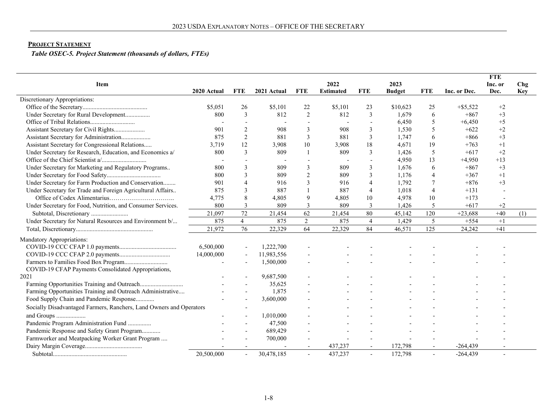# **PROJECT STATEMENT**

*Table OSEC-5. Project Statement (thousands of dollars, FTEs)*

| <b>Item</b>                                                         |             |                |             |                | 2022             |                          | 2023          |                |              | <b>FTE</b><br>Inc. or | Chg        |
|---------------------------------------------------------------------|-------------|----------------|-------------|----------------|------------------|--------------------------|---------------|----------------|--------------|-----------------------|------------|
|                                                                     | 2020 Actual | FTE            | 2021 Actual | <b>FTE</b>     | <b>Estimated</b> | <b>FTE</b>               | <b>Budget</b> | <b>FTE</b>     | Inc. or Dec. | Dec.                  | <b>Key</b> |
| Discretionary Appropriations:                                       |             |                |             |                |                  |                          |               |                |              |                       |            |
|                                                                     | \$5,051     | 26             | \$5,101     | 22             | \$5,101          | 23                       | \$10,623      | 25             | $+$ \$5,522  | $+2$                  |            |
| Under Secretary for Rural Development                               | 800         | 3              | 812         | 2              | 812              | 3                        | 1,679         | 6              | $+867$       | $+3$                  |            |
|                                                                     |             |                |             |                |                  | $\overline{\phantom{0}}$ | 6,450         | 5              | $+6,450$     | $+5$                  |            |
| Assistant Secretary for Civil Rights                                | 901         | 2              | 908         | 3              | 908              | 3                        | 1,530         | 5              | $+622$       | $+2$                  |            |
| Assistant Secretary for Administration                              | 875         | 2              | 881         | 3              | 881              | 3                        | 1,747         | 6              | $+866$       | $+3$                  |            |
| Assistant Secretary for Congressional Relations                     | 3,719       | 12             | 3,908       | 10             | 3,908            | 18                       | 4,671         | 19             | $+763$       | $+1$                  |            |
| Under Secretary for Research, Education, and Economics a/           | 800         | 3              | 809         |                | 809              | 3                        | 1,426         | 5              | $+617$       | $+2$                  |            |
|                                                                     |             |                |             |                |                  |                          | 4,950         | 13             | $+4,950$     | $+13$                 |            |
| Under Secretary for Marketing and Regulatory Programs               | 800         | 3              | 809         | 3              | 809              | $\overline{3}$           | 1,676         | 6              | $+867$       | $+3$                  |            |
|                                                                     | 800         | 3              | 809         | $\overline{2}$ | 809              | 3                        | 1,176         | $\overline{4}$ | $+367$       | $+1$                  |            |
| Under Secretary for Farm Production and Conservation                | 901         | $\overline{4}$ | 916         | 3              | 916              | $\overline{4}$           | 1,792         |                | $+876$       | $+3$                  |            |
| Under Secretary for Trade and Foreign Agricultural Affairs          | 875         | 3              | 887         |                | 887              | $\overline{4}$           | 1,018         | $\overline{4}$ | $+131$       |                       |            |
|                                                                     | 4,775       | 8              | 4,805       | 9              | 4,805            | 10                       | 4,978         | 10             | $+173$       |                       |            |
| Under Secretary for Food, Nutrition, and Consumer Services.         | 800         | 3              | 809         | 3              | 809              | $\overline{3}$           | 1,426         | 5              | $+617$       | $+2$                  |            |
|                                                                     | 21,097      | 72             | 21,454      | 62             | 21,454           | 80                       | 45,142        | 120            | $+23,688$    | $+40$                 | (1)        |
| Under Secretary for Natural Resources and Environment b/            | 875         | $\overline{4}$ | 875         | 2              | 875              | $\overline{4}$           | 1,429         | 5              | $+554$       | $+1$                  |            |
|                                                                     | 21,972      | 76             | 22,329      | 64             | 22,329           | 84                       | 46,571        | 125            | 24,242       | $+41$                 |            |
| Mandatory Appropriations:                                           |             |                |             |                |                  |                          |               |                |              |                       |            |
|                                                                     | 6,500,000   |                | 1,222,700   |                |                  |                          |               |                |              |                       |            |
|                                                                     | 14,000,000  |                | 11,983,556  |                |                  |                          |               |                |              |                       |            |
|                                                                     |             |                | 1,500,000   |                |                  |                          |               |                |              |                       |            |
| COVID-19 CFAP Payments Consolidated Appropriations,                 |             |                |             |                |                  |                          |               |                |              |                       |            |
| 2021                                                                |             |                | 9,687,500   |                |                  |                          |               |                |              |                       |            |
| Farming Opportunities Training and Outreach                         |             |                | 35,625      |                |                  |                          |               |                |              |                       |            |
| Farming Opportunities Training and Outreach Administrative          |             |                | 1,875       |                |                  |                          |               |                |              |                       |            |
| Food Supply Chain and Pandemic Response                             |             |                | 3,600,000   |                |                  |                          |               |                |              |                       |            |
| Socially Disadvantaged Farmers, Ranchers, Land Owners and Operators |             |                |             |                |                  |                          |               |                |              |                       |            |
| and Groups                                                          |             |                | 1,010,000   |                |                  |                          |               |                |              |                       |            |
| Pandemic Program Administration Fund                                |             |                | 47,500      |                |                  |                          |               |                |              |                       |            |
| Pandemic Response and Safety Grant Program                          |             |                | 689,429     |                |                  |                          |               |                |              |                       |            |
| Farmworker and Meatpacking Worker Grant Program                     |             |                | 700,000     |                |                  |                          |               |                |              |                       |            |
|                                                                     |             |                |             |                | 437,237          |                          | 172,798       |                | $-264,439$   |                       |            |
| ${\bf Subtotal}.\label{def:subtotal}$                               | 20,500,000  |                | 30,478,185  |                | 437,237          | $\overline{\phantom{a}}$ | 172,798       |                | $-264,439$   |                       |            |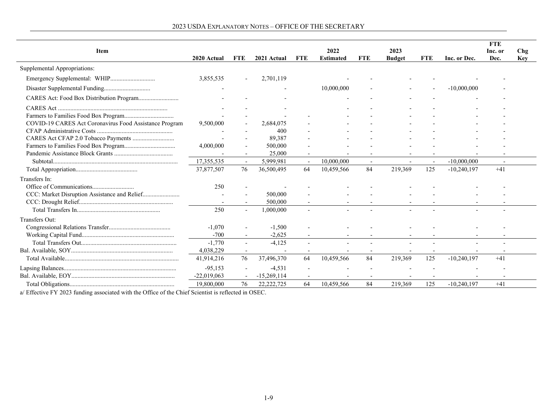|                                                        |               |                          |               |                          |                  |                          |               |                          |               | <b>FTE</b> |     |
|--------------------------------------------------------|---------------|--------------------------|---------------|--------------------------|------------------|--------------------------|---------------|--------------------------|---------------|------------|-----|
| <b>Item</b>                                            |               |                          |               |                          | 2022             |                          | 2023          |                          |               | Inc. or    | Chg |
|                                                        | 2020 Actual   | <b>FTE</b>               | 2021 Actual   | FTE                      | <b>Estimated</b> | <b>FTE</b>               | <b>Budget</b> | <b>FTE</b>               | Inc. or Dec.  | Dec.       | Key |
| Supplemental Appropriations:                           |               |                          |               |                          |                  |                          |               |                          |               |            |     |
|                                                        | 3,855,535     |                          | 2,701,119     |                          |                  |                          |               |                          |               |            |     |
|                                                        |               |                          |               |                          | 10,000,000       |                          |               |                          | $-10,000,000$ |            |     |
|                                                        |               |                          |               |                          |                  |                          |               |                          |               |            |     |
|                                                        |               |                          |               |                          |                  |                          |               |                          |               |            |     |
|                                                        |               |                          |               |                          |                  |                          |               |                          |               |            |     |
| COVID-19 CARES Act Coronavirus Food Assistance Program | 9,500,000     |                          | 2,684,075     |                          |                  |                          |               |                          |               |            |     |
|                                                        |               |                          | 400           |                          |                  |                          |               |                          |               |            |     |
|                                                        |               |                          | 89,387        |                          |                  |                          |               |                          |               |            |     |
|                                                        | 4,000,000     |                          | 500,000       |                          |                  |                          |               |                          |               |            |     |
|                                                        |               |                          | 25,000        |                          |                  |                          |               |                          |               |            |     |
|                                                        | 17,355,535    | $\overline{\phantom{a}}$ | 5,999,981     | $\overline{\phantom{a}}$ | 10,000,000       | $\overline{\phantom{a}}$ |               | $\overline{\phantom{a}}$ | $-10,000,000$ |            |     |
|                                                        | 37,877,507    | 76                       | 36,500,495    | 64                       | 10,459,566       | 84                       | 219,369       | 125                      | $-10,240,197$ | $+41$      |     |
| Transfers In:                                          |               |                          |               |                          |                  |                          |               |                          |               |            |     |
|                                                        | 250           |                          |               |                          |                  |                          |               |                          |               |            |     |
|                                                        |               |                          | 500,000       |                          |                  |                          |               |                          |               |            |     |
|                                                        |               |                          | 500,000       |                          |                  |                          |               |                          |               |            |     |
|                                                        | 250           | $\overline{\phantom{a}}$ | 1,000,000     |                          |                  |                          |               |                          |               |            |     |
| Transfers Out:                                         |               |                          |               |                          |                  |                          |               |                          |               |            |     |
|                                                        | $-1,070$      |                          | $-1,500$      |                          |                  |                          |               |                          |               |            |     |
|                                                        | $-700$        |                          | $-2.625$      |                          |                  |                          |               |                          |               |            |     |
|                                                        | $-1,770$      |                          | $-4,125$      |                          |                  |                          |               |                          |               |            |     |
|                                                        | 4,038,229     |                          |               |                          |                  |                          |               |                          |               |            |     |
|                                                        | 41,914,216    | 76                       | 37,496,370    | 64                       | 10,459,566       | 84                       | 219,369       | 125                      | $-10,240,197$ | $+41$      |     |
|                                                        | $-95,153$     |                          | $-4,531$      |                          |                  |                          |               |                          |               |            |     |
|                                                        | $-22,019,063$ |                          | $-15,269,114$ |                          |                  |                          |               |                          |               |            |     |
|                                                        | 19,800,000    | 76                       | 22, 222, 725  | 64                       | 10,459,566       | 84                       | 219,369       | 125                      | $-10,240,197$ | $+41$      |     |

# 2023 USDA EXPLANATORY NOTES – OFFICE OF THE SECRETARY

a/ Effective FY 2023 funding associated with the Office of the Chief Scientist is reflected in OSEC.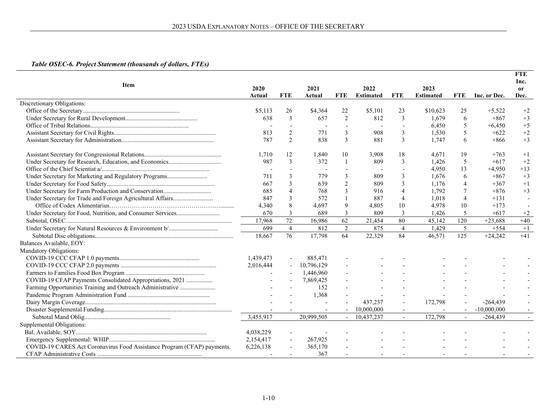# *Table OSEC-6. Project Statement (thousands of dollars, FTEs)*

|                                                                         |           |                          |            |                |                  |                          |                          |                          |               | <b>FTE</b>            |
|-------------------------------------------------------------------------|-----------|--------------------------|------------|----------------|------------------|--------------------------|--------------------------|--------------------------|---------------|-----------------------|
| <b>Item</b>                                                             | 2020      |                          | 2021       |                | 2022             |                          | 2023                     |                          |               | Inc.<br><sub>or</sub> |
|                                                                         | Actual    | <b>FTE</b>               | Actual     | <b>FTE</b>     | <b>Estimated</b> | <b>FTE</b>               | <b>Estimated</b>         | <b>FTE</b>               | Inc. or Dec.  | Dec.                  |
| Discretionary Obligations:                                              |           |                          |            |                |                  |                          |                          |                          |               |                       |
|                                                                         | \$5,113   | 26                       | \$4,364    | 22             | \$5,101          | 23                       | \$10,623                 | 25                       | $+5,522$      | $+2$                  |
|                                                                         | 638       | 3                        | 657        | 2              | 812              | 3                        | 1.679                    | -6                       | $+867$        | $+3$                  |
|                                                                         |           |                          |            |                |                  |                          | 6.450                    | 5                        | $+6,450$      | $+5$                  |
|                                                                         | 813       | $\overline{2}$           | 771        | 3              | 908              | 3                        | 1,530                    | 5                        | $+622$        | $+2$                  |
|                                                                         | 787       | $\overline{2}$           | 838        | 3              | 881              | 3                        | 1,747                    | 6                        | $+866$        | $+3$                  |
|                                                                         | 1,710     | 12                       | 1,840      | 10             | 3,908            | 18                       | 4.671                    | 19                       | $+763$        | $+1$                  |
|                                                                         | 987       | $\overline{3}$           | 372        | $\overline{1}$ | 809              | 3                        | 1.426                    | 5                        | $+617$        | $+2$                  |
|                                                                         |           |                          |            |                |                  |                          | 4,950                    | 13                       | $+4,950$      | $+13$                 |
| Under Secretary for Marketing and Regulatory Programs                   | 711       | 3                        | 779        | 3              | 809              | 3                        | 1.676                    | -6                       | $+867$        | $+3$                  |
|                                                                         | 667       | 3                        | 639        | $\overline{2}$ | 809              | 3                        | 1.176                    | $\overline{4}$           | $+367$        | $+1$                  |
|                                                                         | 685       | $\overline{4}$           | 768        | $\overline{3}$ | 916              | $\overline{4}$           | 1.792                    | 7                        | $+876$        | $+3$                  |
|                                                                         | 847       | 3                        | 572        |                | 887              | $\overline{4}$           | 1.018                    | $\overline{4}$           | $+131$        |                       |
|                                                                         | 4.340     | 8                        | 4,697      | 9              | 4,805            | 10                       | 4,978                    | 10                       | $+173$        |                       |
|                                                                         | 670       | 3                        | 689        | $\mathfrak{Z}$ | 809              | 3                        | 1,426                    | 5                        | $+617$        | $+2$                  |
|                                                                         | 17.968    | 72                       | 16,986     | 62             | 21,454           | 80                       | 45,142                   | 120                      | $+23.688$     | $+40$                 |
|                                                                         | 699       | $\overline{4}$           | 812        | $\overline{2}$ | 875              | $\overline{4}$           | 1.429                    | 5                        | $+554$        | $+1$                  |
|                                                                         | 18,667    | 76                       | 17,798     | 64             | 22,329           | 84                       | 46,571                   | 125                      | $+24,242$     | $+41$                 |
| Balances Available, EOY:                                                |           |                          |            |                |                  |                          |                          |                          |               |                       |
| Mandatory Obligations:                                                  |           |                          |            |                |                  |                          |                          |                          |               |                       |
|                                                                         | 1,439,473 |                          | 885,471    |                |                  |                          |                          |                          |               |                       |
|                                                                         | 2,016,444 |                          | 10,796,129 |                |                  |                          |                          |                          |               |                       |
|                                                                         |           |                          | 1,446,960  |                |                  |                          |                          |                          |               |                       |
| COVID-19 CFAP Payments Consolidated Appropriations, 2021                |           |                          | 7,869,425  |                |                  |                          |                          |                          |               |                       |
| Farming Opportunities Training and Outreach Administrative              |           |                          | 152        |                |                  |                          |                          |                          |               |                       |
|                                                                         |           |                          | 1,368      |                |                  |                          |                          |                          |               |                       |
|                                                                         |           |                          |            |                | 437,237          |                          | 172,798                  |                          | $-264,439$    |                       |
|                                                                         |           |                          |            |                | 10,000,000       | $\overline{\phantom{a}}$ |                          |                          | $-10,000,000$ |                       |
|                                                                         | 3,455,917 |                          | 20,999,505 |                | 10,437,237       | $\sim$                   | 172,798                  |                          | $-264,439$    |                       |
| Supplemental Obligations:                                               |           |                          |            |                |                  |                          |                          |                          |               |                       |
|                                                                         | 4,038,229 |                          |            |                |                  |                          |                          |                          |               |                       |
|                                                                         | 2,154,417 |                          | 267,925    |                |                  |                          |                          |                          |               |                       |
| COVID-19 CARES Act Coronavirus Food Assistance Program (CFAP) payments. | 6,226,138 |                          | 365,170    |                |                  |                          |                          |                          |               |                       |
|                                                                         |           | $\overline{\phantom{a}}$ | 367        |                | $\overline{a}$   | $\overline{\phantom{a}}$ | $\overline{\phantom{a}}$ | $\overline{\phantom{a}}$ |               |                       |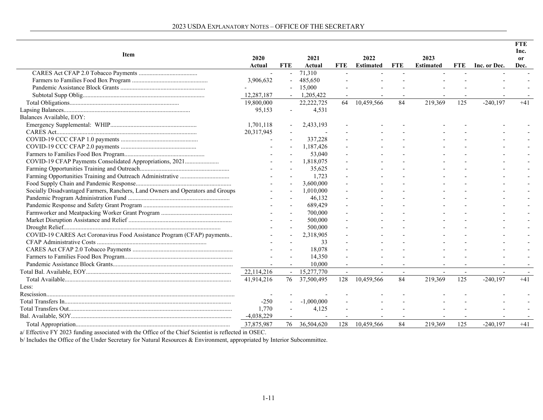| <b>Item</b>                                                                    | 2020<br>Actual | <b>FTE</b>     | 2021<br>Actual | <b>FTE</b> | 2022<br><b>Estimated</b> | <b>FTE</b> | 2023<br><b>Estimated</b> | <b>FTE</b> | Inc. or Dec. | <b>FTE</b><br>Inc.<br><sub>or</sub><br>Dec. |
|--------------------------------------------------------------------------------|----------------|----------------|----------------|------------|--------------------------|------------|--------------------------|------------|--------------|---------------------------------------------|
|                                                                                |                |                | 71,310         |            |                          |            |                          |            |              |                                             |
|                                                                                | 3,906,632      | $\overline{a}$ | 485,650        |            |                          |            |                          |            |              |                                             |
|                                                                                |                |                | 15,000         |            |                          |            |                          |            |              |                                             |
|                                                                                | 12,287,187     |                | 1,205,422      |            |                          |            |                          |            |              |                                             |
|                                                                                | 19,800,000     |                | 22, 222, 725   | 64         | 10,459,566               | 84         | 219,369                  | 125        | $-240,197$   | $+41$                                       |
|                                                                                | 95,153         | $\blacksquare$ | 4,531          |            |                          |            |                          |            |              |                                             |
| Balances Available, EOY:                                                       |                |                |                |            |                          |            |                          |            |              |                                             |
|                                                                                | 1.701.118      |                | 2,433,193      |            |                          |            |                          |            |              |                                             |
|                                                                                | 20,317,945     |                |                |            |                          |            |                          |            |              |                                             |
|                                                                                |                |                | 337,228        |            |                          |            |                          |            |              |                                             |
|                                                                                |                |                | 1,187,426      |            |                          |            |                          |            |              |                                             |
|                                                                                |                |                | 53,040         |            |                          |            |                          |            |              |                                             |
| COVID-19 CFAP Payments Consolidated Appropriations, 2021                       |                |                | 1,818,075      |            |                          |            |                          |            |              |                                             |
|                                                                                |                |                | 35,625         |            |                          |            |                          |            |              |                                             |
|                                                                                |                |                | 1,723          |            |                          |            |                          |            |              |                                             |
|                                                                                |                |                | 3,600,000      |            |                          |            |                          |            |              |                                             |
| Socially Disadvantaged Farmers, Ranchers, Land Owners and Operators and Groups |                |                | 1.010.000      |            |                          |            |                          |            |              |                                             |
|                                                                                |                |                | 46,132         |            |                          |            |                          |            |              |                                             |
|                                                                                |                |                | 689,429        |            |                          |            |                          |            |              |                                             |
|                                                                                |                |                | 700,000        |            |                          |            |                          |            |              |                                             |
|                                                                                |                |                | 500,000        |            |                          |            |                          |            |              |                                             |
|                                                                                |                |                | 500,000        |            |                          |            |                          |            |              |                                             |
| COVID-19 CARES Act Coronavirus Food Assistance Program (CFAP) payments         |                |                | 2,318,905      |            |                          |            |                          |            |              |                                             |
|                                                                                |                |                | 33             |            |                          |            |                          |            |              |                                             |
|                                                                                |                |                | 18,078         |            |                          |            |                          |            |              |                                             |
|                                                                                |                |                | 14,350         |            |                          |            |                          |            |              |                                             |
|                                                                                |                |                | 10,000         |            |                          |            |                          |            |              |                                             |
|                                                                                | 22,114,216     |                | 15,277,770     |            |                          |            |                          |            |              |                                             |
|                                                                                | 41,914,216     | 76             | 37,500,495     | 128        | 10,459,566               | 84         | 219,369                  | 125        | $-240,197$   | $+41$                                       |
| Less:                                                                          |                |                |                |            |                          |            |                          |            |              |                                             |
|                                                                                |                |                |                |            |                          |            |                          |            |              |                                             |
|                                                                                | $-250$         |                | $-1,000,000$   |            |                          |            |                          |            |              |                                             |
|                                                                                | 1,770          |                | 4,125          |            |                          |            |                          |            |              |                                             |
|                                                                                | $-4,038,229$   |                |                |            |                          |            |                          |            |              |                                             |
|                                                                                | 37,875,987     | 76             | 36,504,620     | 128        | 10,459,566               | 84         | 219,369                  | 125        | $-240,197$   | $+41$                                       |

a/ Effective FY 2023 funding associated with the Office of the Chief Scientist is reflected in OSEC.

b/ Includes the Office of the Under Secretary for Natural Resources & Environment, appropriated by Interior Subcommittee.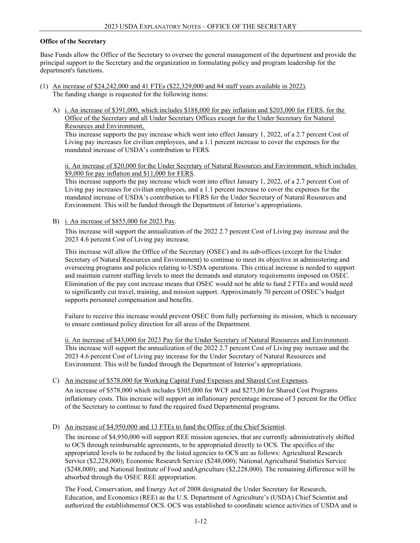#### **Office of the Secretary**

Base Funds allow the Office of the Secretary to oversee the general management of the department and provide the principal support to the Secretary and the organization in formulating policy and program leadership for the department's functions.

- (1) An increase of \$24,242,000 and 41 FTEs (\$22,329,000 and 84 staff years available in 2022). The funding change is requested for the following items:
	- A) i. An increase of \$391,000, which includes \$188,000 for pay inflation and \$203,000 for FERS, for the Office of the Secretary and all Under Secretary Offices except for the Under Secretary for Natural Resources and Environment,

This increase supports the pay increase which went into effect January 1, 2022, of a 2.7 percent Cost of Living pay increases for civilian employees, and a 1.1 percent increase to cover the expenses for the mandated increase of USDA's contribution to FERS*.*

ii. An increase of \$20,000 for the Under Secretary of Natural Resources and Environment, which includes \$9,000 for pay inflation and \$11,000 for FERS.

This increase supports the pay increase which went into effect January 1, 2022, of a 2.7 percent Cost of Living pay increases for civilian employees, and a 1.1 percent increase to cover the expenses for the mandated increase of USDA's contribution to FERS for the Under Secretary of Natural Resources and Environment*.* This will be funded through the Department of Interior's appropriations.

B) i. An increase of \$855,000 for 2023 Pay.

This increase will support the annualization of the 2022 2.7 percent Cost of Living pay increase and the 2023 4.6 percent Cost of Living pay increase.

This increase will allow the Office of the Secretary (OSEC) and its sub-offices (except for the Under Secretary of Natural Resources and Environment) to continue to meet its objective in administering and overseeing programs and policies relating to USDA operations. This critical increase is needed to support and maintain current staffing levels to meet the demands and statutory requirements imposed on OSEC. Elimination of the pay cost increase means that OSEC would not be able to fund 2 FTEs and would need to significantly cut travel, training, and mission support. Approximately 70 percent of OSEC's budget supports personnel compensation and benefits.

Failure to receive this increase would prevent OSEC from fully performing its mission, which is necessary to ensure continued policy direction for all areas of the Department.

ii. An increase of \$43,000 for 2023 Pay for the Under Secretary of Natural Resources and Environment. This increase will support the annualization of the 2022 2.7 percent Cost of Living pay increase and the 2023 4.6 percent Cost of Living pay increase for the Under Secretary of Natural Resources and Environment. This will be funded through the Department of Interior's appropriations.

C) An increase of \$578,000 for Working Capital Fund Expenses and Shared Cost Expenses.

An increase of \$578,000 which includes \$305,000 for WCF and \$273,00 for Shared Cost Programs inflationary costs. This increase will support an inflationary percentage increase of 3 percent for the Office of the Secretary to continue to fund the required fixed Departmental programs.

D) An increase of \$4,950,000 and 13 FTEs to fund the Office of the Chief Scientist.

The increase of \$4,950,000 will support REE mission agencies, that are currently administratively shifted to OCS through reimbursable agreements, to be appropriated directly to OCS. The specifics of the appropriated levels to be reduced by the listed agencies to OCS are as follows: Agricultural Research Service (\$2,228,000); Economic Research Service (\$248,000); National Agricultural Statistics Service (\$248,000); and National Institute of Food andAgriculture (\$2,228,000). The remaining difference will be absorbed through the OSEC REE appropriation.

The Food, Conservation, and Energy Act of 2008 designated the Under Secretary for Research, Education, and Economics (REE) as the U.S. Department of Agriculture's (USDA) Chief Scientist and authorized the establishmentof OCS. OCS was established to coordinate science activities of USDA and is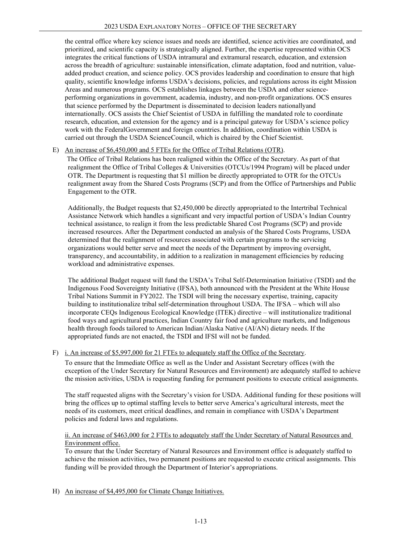the central office where key science issues and needs are identified, science activities are coordinated, and prioritized, and scientific capacity is strategically aligned. Further, the expertise represented within OCS integrates the critical functions of USDA intramural and extramural research, education, and extension across the breadth of agriculture: sustainable intensification, climate adaptation, food and nutrition, valueadded product creation, and science policy. OCS provides leadership and coordination to ensure that high quality, scientific knowledge informs USDA's decisions, policies, and regulations across its eight Mission Areas and numerous programs. OCS establishes linkages between the USDA and other scienceperforming organizations in government, academia, industry, and non-profit organizations. OCS ensures that science performed by the Department is disseminated to decision leaders nationallyand internationally. OCS assists the Chief Scientist of USDA in fulfilling the mandated role to coordinate research, education, and extension for the agency and is a principal gateway for USDA's science policy work with the FederalGovernment and foreign countries. In addition, coordination within USDA is carried out through the USDA ScienceCouncil, which is chaired by the Chief Scientist.

#### E) An increase of \$6,450,000 and 5 FTEs for the Office of Tribal Relations (OTR).

 The Office of Tribal Relations has been realigned within the Office of the Secretary. As part of that realignment the Office of Tribal Colleges & Universities (OTCUs/1994 Program) will be placed under OTR. The Department is requesting that \$1 million be directly appropriated to OTR for the OTCUs realignment away from the Shared Costs Programs (SCP) and from the Office of Partnerships and Public Engagement to the OTR.

Additionally, the Budget requests that \$2,450,000 be directly appropriated to the Intertribal Technical Assistance Network which handles a significant and very impactful portion of USDA's Indian Country technical assistance, to realign it from the less predictable Shared Cost Programs (SCP) and provide increased resources. After the Department conducted an analysis of the Shared Costs Programs, USDA determined that the realignment of resources associated with certain programs to the servicing organizations would better serve and meet the needs of the Department by improving oversight, transparency, and accountability, in addition to a realization in management efficiencies by reducing workload and administrative expenses.

The additional Budget request will fund the USDA's Tribal Self-Determination Initiative (TSDI) and the Indigenous Food Sovereignty Initiative (IFSA), both announced with the President at the White House Tribal Nations Summit in FY2022. The TSDI will bring the necessary expertise, training, capacity building to institutionalize tribal self-determination throughout USDA. The IFSA – which will also incorporate CEQs Indigenous Ecological Knowledge (ITEK) directive – will institutionalize traditional food ways and agricultural practices, Indian Country fair food and agriculture markets, and Indigenous health through foods tailored to American Indian/Alaska Native (AI/AN) dietary needs. If the appropriated funds are not enacted, the TSDI and IFSI will not be funded.

## F) i. An increase of \$5,997,000 for 21 FTEs to adequately staff the Office of the Secretary.

To ensure that the Immediate Office as well as the Under and Assistant Secretary offices (with the exception of the Under Secretary for Natural Resources and Environment) are adequately staffed to achieve the mission activities, USDA is requesting funding for permanent positions to execute critical assignments.

The staff requested aligns with the Secretary's vision for USDA. Additional funding for these positions will bring the offices up to optimal staffing levels to better serve America's agricultural interests, meet the needs of its customers, meet critical deadlines, and remain in compliance with USDA's Department policies and federal laws and regulations.

#### ii. An increase of \$463,000 for 2 FTEs to adequately staff the Under Secretary of Natural Resources and Environment office.

To ensure that the Under Secretary of Natural Resources and Environment office is adequately staffed to achieve the mission activities, two permanent positions are requested to execute critical assignments. This funding will be provided through the Department of Interior's appropriations.

H) An increase of \$4,495,000 for Climate Change Initiatives.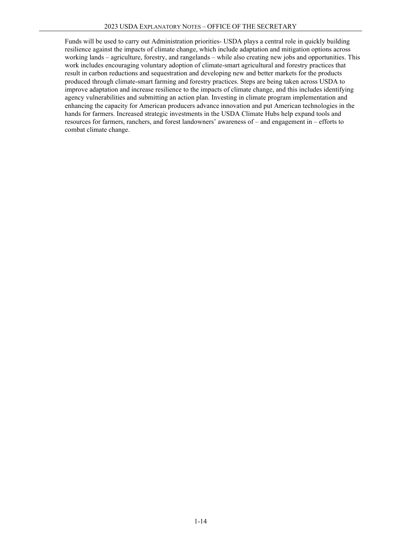Funds will be used to carry out Administration priorities- USDA plays a central role in quickly building resilience against the impacts of climate change, which include adaptation and mitigation options across working lands – agriculture, forestry, and rangelands – while also creating new jobs and opportunities. This work includes encouraging voluntary adoption of climate-smart agricultural and forestry practices that result in carbon reductions and sequestration and developing new and better markets for the products produced through climate-smart farming and forestry practices. Steps are being taken across USDA to improve adaptation and increase resilience to the impacts of climate change, and this includes identifying agency vulnerabilities and submitting an action plan. Investing in climate program implementation and enhancing the capacity for American producers advance innovation and put American technologies in the hands for farmers. Increased strategic investments in the USDA Climate Hubs help expand tools and resources for farmers, ranchers, and forest landowners' awareness of – and engagement in – efforts to combat climate change.